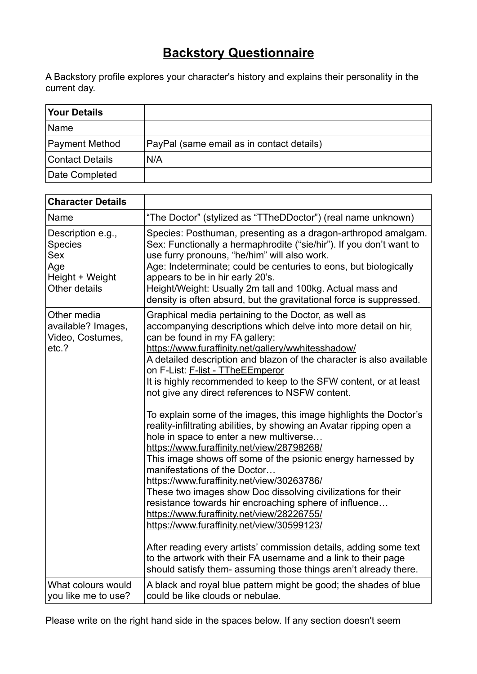## **Backstory Questionnaire**

A Backstory profile explores your character's history and explains their personality in the current day.

| <b>Your Details</b>    |                                           |
|------------------------|-------------------------------------------|
| Name                   |                                           |
| Payment Method         | PayPal (same email as in contact details) |
| <b>Contact Details</b> | N/A                                       |
| Date Completed         |                                           |

| <b>Character Details</b>                                                                     |                                                                                                                                                                                                                                                                                                                                                                                                                                                                                                                                                                                                                                                                                                                                                                                                                                                                                                                                                                                                                                                                                                                                                                                                                                                                       |
|----------------------------------------------------------------------------------------------|-----------------------------------------------------------------------------------------------------------------------------------------------------------------------------------------------------------------------------------------------------------------------------------------------------------------------------------------------------------------------------------------------------------------------------------------------------------------------------------------------------------------------------------------------------------------------------------------------------------------------------------------------------------------------------------------------------------------------------------------------------------------------------------------------------------------------------------------------------------------------------------------------------------------------------------------------------------------------------------------------------------------------------------------------------------------------------------------------------------------------------------------------------------------------------------------------------------------------------------------------------------------------|
| Name                                                                                         | "The Doctor" (stylized as "TTheDDoctor") (real name unknown)                                                                                                                                                                                                                                                                                                                                                                                                                                                                                                                                                                                                                                                                                                                                                                                                                                                                                                                                                                                                                                                                                                                                                                                                          |
| Description e.g.,<br><b>Species</b><br><b>Sex</b><br>Age<br>Height + Weight<br>Other details | Species: Posthuman, presenting as a dragon-arthropod amalgam.<br>Sex: Functionally a hermaphrodite ("sie/hir"). If you don't want to<br>use furry pronouns, "he/him" will also work.<br>Age: Indeterminate; could be centuries to eons, but biologically<br>appears to be in hir early 20's.<br>Height/Weight: Usually 2m tall and 100kg. Actual mass and<br>density is often absurd, but the gravitational force is suppressed.                                                                                                                                                                                                                                                                                                                                                                                                                                                                                                                                                                                                                                                                                                                                                                                                                                      |
| Other media<br>available? Images,<br>Video, Costumes,<br>etc.?                               | Graphical media pertaining to the Doctor, as well as<br>accompanying descriptions which delve into more detail on hir,<br>can be found in my FA gallery:<br>https://www.furaffinity.net/gallery/wwhitesshadow/<br>A detailed description and blazon of the character is also available<br>on F-List: F-list - TTheEEmperor<br>It is highly recommended to keep to the SFW content, or at least<br>not give any direct references to NSFW content.<br>To explain some of the images, this image highlights the Doctor's<br>reality-infiltrating abilities, by showing an Avatar ripping open a<br>hole in space to enter a new multiverse<br>https://www.furaffinity.net/view/28798268/<br>This image shows off some of the psionic energy harnessed by<br>manifestations of the Doctor<br>https://www.furaffinity.net/view/30263786/<br>These two images show Doc dissolving civilizations for their<br>resistance towards hir encroaching sphere of influence<br>https://www.furaffinity.net/view/28226755/<br>https://www.furaffinity.net/view/30599123/<br>After reading every artists' commission details, adding some text<br>to the artwork with their FA username and a link to their page<br>should satisfy them- assuming those things aren't already there. |
| What colours would<br>you like me to use?                                                    | A black and royal blue pattern might be good; the shades of blue<br>could be like clouds or nebulae.                                                                                                                                                                                                                                                                                                                                                                                                                                                                                                                                                                                                                                                                                                                                                                                                                                                                                                                                                                                                                                                                                                                                                                  |

Please write on the right hand side in the spaces below. If any section doesn't seem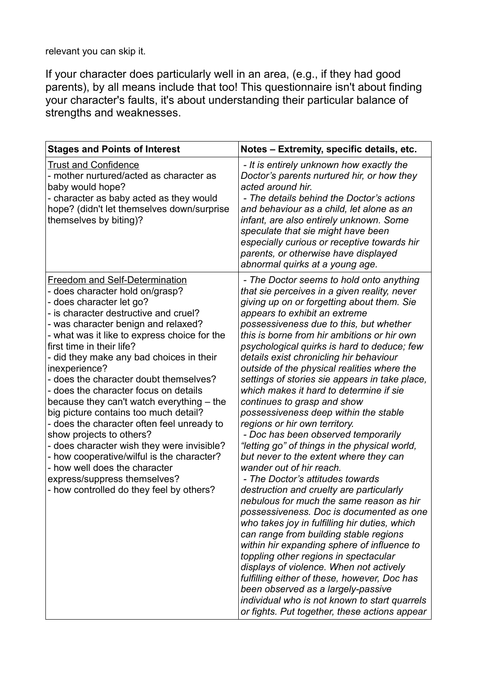relevant you can skip it.

If your character does particularly well in an area, (e.g., if they had good parents), by all means include that too! This questionnaire isn't about finding your character's faults, it's about understanding their particular balance of strengths and weaknesses.

| <b>Stages and Points of Interest</b>                                                                                                                                                                                                                                                                                                                                                                                                                                                                                                                                                                                                                                                                                                                                                       | Notes - Extremity, specific details, etc.                                                                                                                                                                                                                                                                                                                                                                                                                                                                                                                                                                                                                                                                                                                                                                                                                                                                                                                                                                                                                                                                                                                                                                                                                                                                                                                                    |
|--------------------------------------------------------------------------------------------------------------------------------------------------------------------------------------------------------------------------------------------------------------------------------------------------------------------------------------------------------------------------------------------------------------------------------------------------------------------------------------------------------------------------------------------------------------------------------------------------------------------------------------------------------------------------------------------------------------------------------------------------------------------------------------------|------------------------------------------------------------------------------------------------------------------------------------------------------------------------------------------------------------------------------------------------------------------------------------------------------------------------------------------------------------------------------------------------------------------------------------------------------------------------------------------------------------------------------------------------------------------------------------------------------------------------------------------------------------------------------------------------------------------------------------------------------------------------------------------------------------------------------------------------------------------------------------------------------------------------------------------------------------------------------------------------------------------------------------------------------------------------------------------------------------------------------------------------------------------------------------------------------------------------------------------------------------------------------------------------------------------------------------------------------------------------------|
| <b>Trust and Confidence</b><br>- mother nurtured/acted as character as<br>baby would hope?<br>- character as baby acted as they would<br>hope? (didn't let themselves down/surprise<br>themselves by biting)?                                                                                                                                                                                                                                                                                                                                                                                                                                                                                                                                                                              | - It is entirely unknown how exactly the<br>Doctor's parents nurtured hir, or how they<br>acted around hir.<br>- The details behind the Doctor's actions<br>and behaviour as a child, let alone as an<br>infant, are also entirely unknown. Some<br>speculate that sie might have been<br>especially curious or receptive towards hir<br>parents, or otherwise have displayed<br>abnormal quirks at a young age.                                                                                                                                                                                                                                                                                                                                                                                                                                                                                                                                                                                                                                                                                                                                                                                                                                                                                                                                                             |
| <b>Freedom and Self-Determination</b><br>- does character hold on/grasp?<br>- does character let go?<br>- is character destructive and cruel?<br>- was character benign and relaxed?<br>- what was it like to express choice for the<br>first time in their life?<br>- did they make any bad choices in their<br>inexperience?<br>- does the character doubt themselves?<br>- does the character focus on details<br>because they can't watch everything – the<br>big picture contains too much detail?<br>- does the character often feel unready to<br>show projects to others?<br>- does character wish they were invisible?<br>- how cooperative/wilful is the character?<br>- how well does the character<br>express/suppress themselves?<br>- how controlled do they feel by others? | - The Doctor seems to hold onto anything<br>that sie perceives in a given reality, never<br>giving up on or forgetting about them. Sie<br>appears to exhibit an extreme<br>possessiveness due to this, but whether<br>this is borne from hir ambitions or hir own<br>psychological quirks is hard to deduce; few<br>details exist chronicling hir behaviour<br>outside of the physical realities where the<br>settings of stories sie appears in take place,<br>which makes it hard to determine if sie<br>continues to grasp and show<br>possessiveness deep within the stable<br>regions or hir own territory.<br>- Doc has been observed temporarily<br>"letting go" of things in the physical world,<br>but never to the extent where they can<br>wander out of hir reach.<br>- The Doctor's attitudes towards<br>destruction and cruelty are particularly<br>nebulous for much the same reason as hir<br>possessiveness. Doc is documented as one<br>who takes joy in fulfilling hir duties, which<br>can range from building stable regions<br>within hir expanding sphere of influence to<br>toppling other regions in spectacular<br>displays of violence. When not actively<br>fulfilling either of these, however, Doc has<br>been observed as a largely-passive<br>individual who is not known to start quarrels<br>or fights. Put together, these actions appear |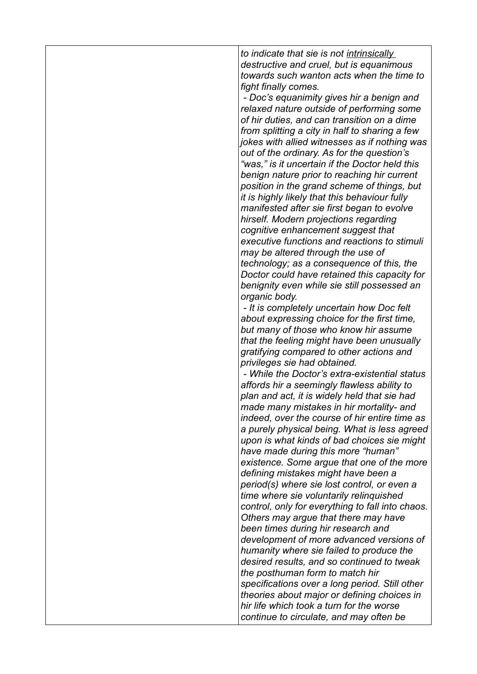*to indicate that sie is not intrinsically destructive and cruel, but is equanimous towards such wanton acts when the time to fight finally comes.*

 *- Doc's equanimity gives hir a benign and relaxed nature outside of performing some of hir duties, and can transition on a dime from splitting a city in half to sharing a few jokes with allied witnesses as if nothing was out of the ordinary. As for the question's "was," is it uncertain if the Doctor held this benign nature prior to reaching hir current position in the grand scheme of things, but it is highly likely that this behaviour fully manifested after sie first began to evolve hirself. Modern projections regarding cognitive enhancement suggest that executive functions and reactions to stimuli may be altered through the use of technology; as a consequence of this, the Doctor could have retained this capacity for benignity even while sie still possessed an organic body.*

 *- It is completely uncertain how Doc felt about expressing choice for the first time, but many of those who know hir assume that the feeling might have been unusually gratifying compared to other actions and privileges sie had obtained.*

 *- While the Doctor's extra-existential status affords hir a seemingly flawless ability to plan and act, it is widely held that sie had made many mistakes in hir mortality- and indeed, over the course of hir entire time as a purely physical being. What is less agreed upon is what kinds of bad choices sie might have made during this more "human" existence. Some argue that one of the more defining mistakes might have been a period(s) where sie lost control, or even a time where sie voluntarily relinquished control, only for everything to fall into chaos. Others may argue that there may have been times during hir research and development of more advanced versions of humanity where sie failed to produce the desired results, and so continued to tweak the posthuman form to match hir specifications over a long period. Still other theories about major or defining choices in hir life which took a turn for the worse continue to circulate, and may often be*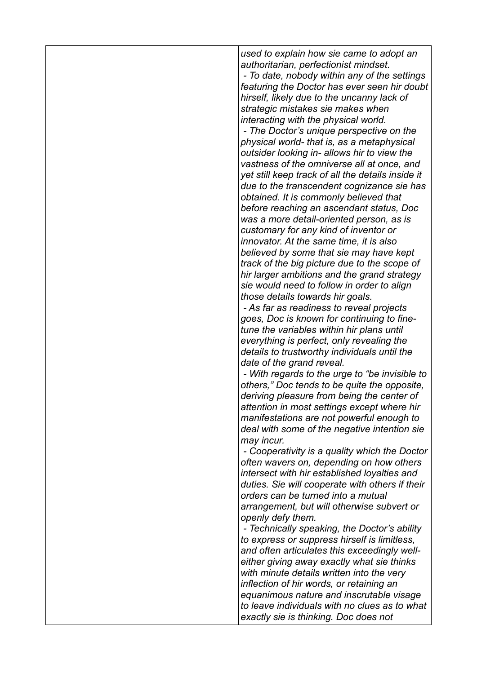*used to explain how sie came to adopt an authoritarian, perfectionist mindset. - To date, nobody within any of the settings*

*featuring the Doctor has ever seen hir doubt hirself, likely due to the uncanny lack of strategic mistakes sie makes when interacting with the physical world.*

 *- The Doctor's unique perspective on the physical world- that is, as a metaphysical outsider looking in- allows hir to view the vastness of the omniverse all at once, and yet still keep track of all the details inside it due to the transcendent cognizance sie has obtained. It is commonly believed that before reaching an ascendant status, Doc was a more detail-oriented person, as is customary for any kind of inventor or innovator. At the same time, it is also believed by some that sie may have kept track of the big picture due to the scope of hir larger ambitions and the grand strategy sie would need to follow in order to align those details towards hir goals.*

 *- As far as readiness to reveal projects goes, Doc is known for continuing to finetune the variables within hir plans until everything is perfect, only revealing the details to trustworthy individuals until the date of the grand reveal.*

 *- With regards to the urge to "be invisible to others," Doc tends to be quite the opposite, deriving pleasure from being the center of attention in most settings except where hir manifestations are not powerful enough to deal with some of the negative intention sie may incur.*

 *- Cooperativity is a quality which the Doctor often wavers on, depending on how others intersect with hir established loyalties and duties. Sie will cooperate with others if their orders can be turned into a mutual arrangement, but will otherwise subvert or openly defy them.*

 *- Technically speaking, the Doctor's ability to express or suppress hirself is limitless, and often articulates this exceedingly welleither giving away exactly what sie thinks with minute details written into the very inflection of hir words, or retaining an equanimous nature and inscrutable visage to leave individuals with no clues as to what exactly sie is thinking. Doc does not*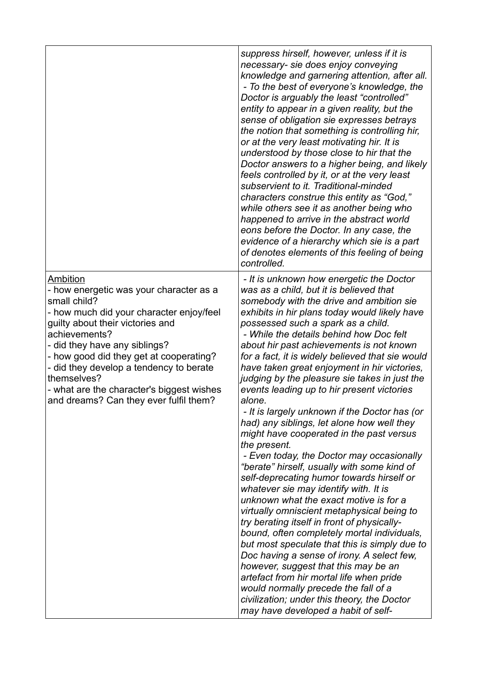|                                                                                                                                                                                                                                                                                                                                                                                                   | suppress hirself, however, unless if it is<br>necessary-sie does enjoy conveying<br>knowledge and garnering attention, after all.<br>- To the best of everyone's knowledge, the<br>Doctor is arguably the least "controlled"<br>entity to appear in a given reality, but the<br>sense of obligation sie expresses betrays<br>the notion that something is controlling hir,<br>or at the very least motivating hir. It is<br>understood by those close to hir that the<br>Doctor answers to a higher being, and likely<br>feels controlled by it, or at the very least<br>subservient to it. Traditional-minded<br>characters construe this entity as "God,"<br>while others see it as another being who<br>happened to arrive in the abstract world<br>eons before the Doctor. In any case, the<br>evidence of a hierarchy which sie is a part<br>of denotes elements of this feeling of being<br>controlled.                                                                                                                                                                                                                                                                                                                                                                                                                                                                  |
|---------------------------------------------------------------------------------------------------------------------------------------------------------------------------------------------------------------------------------------------------------------------------------------------------------------------------------------------------------------------------------------------------|--------------------------------------------------------------------------------------------------------------------------------------------------------------------------------------------------------------------------------------------------------------------------------------------------------------------------------------------------------------------------------------------------------------------------------------------------------------------------------------------------------------------------------------------------------------------------------------------------------------------------------------------------------------------------------------------------------------------------------------------------------------------------------------------------------------------------------------------------------------------------------------------------------------------------------------------------------------------------------------------------------------------------------------------------------------------------------------------------------------------------------------------------------------------------------------------------------------------------------------------------------------------------------------------------------------------------------------------------------------------------------|
| Ambition<br>- how energetic was your character as a<br>small child?<br>- how much did your character enjoy/feel<br>guilty about their victories and<br>achievements?<br>- did they have any siblings?<br>- how good did they get at cooperating?<br>- did they develop a tendency to berate<br>themselves?<br>- what are the character's biggest wishes<br>and dreams? Can they ever fulfil them? | - It is unknown how energetic the Doctor<br>was as a child, but it is believed that<br>somebody with the drive and ambition sie<br>exhibits in hir plans today would likely have<br>possessed such a spark as a child.<br>- While the details behind how Doc felt<br>about hir past achievements is not known<br>for a fact, it is widely believed that sie would<br>have taken great enjoyment in hir victories,<br>judging by the pleasure sie takes in just the<br>events leading up to hir present victories<br>alone.<br>- It is largely unknown if the Doctor has (or<br>had) any siblings, let alone how well they<br>might have cooperated in the past versus<br>the present.<br>- Even today, the Doctor may occasionally<br>"berate" hirself, usually with some kind of<br>self-deprecating humor towards hirself or<br>whatever sie may identify with. It is<br>unknown what the exact motive is for a<br>virtually omniscient metaphysical being to<br>try berating itself in front of physically-<br>bound, often completely mortal individuals,<br>but most speculate that this is simply due to<br>Doc having a sense of irony. A select few,<br>however, suggest that this may be an<br>artefact from hir mortal life when pride<br>would normally precede the fall of a<br>civilization; under this theory, the Doctor<br>may have developed a habit of self- |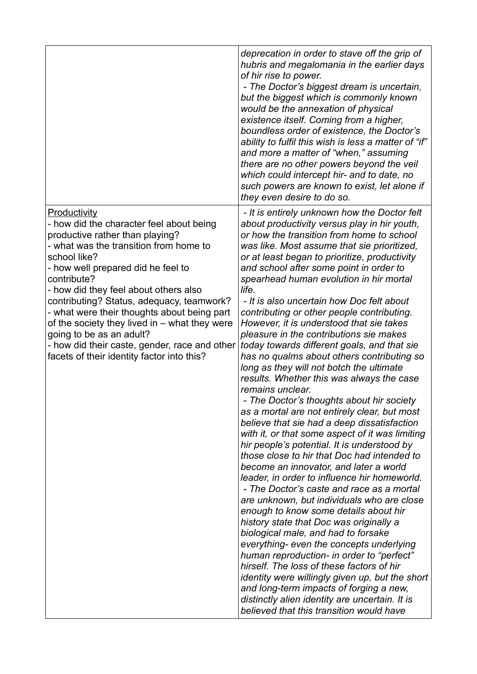|                                                                                                                                                                                                                                                                                                                                                                                                                                                                                                                             | deprecation in order to stave off the grip of<br>hubris and megalomania in the earlier days<br>of hir rise to power.<br>- The Doctor's biggest dream is uncertain,<br>but the biggest which is commonly known<br>would be the annexation of physical<br>existence itself. Coming from a higher,<br>boundless order of existence, the Doctor's<br>ability to fulfil this wish is less a matter of "if"<br>and more a matter of "when," assuming<br>there are no other powers beyond the veil<br>which could intercept hir- and to date, no<br>such powers are known to exist, let alone if<br>they even desire to do so.                                                                                                                                                                                                                                                                                                                                                                                                                                                                                                                                                                                                                                                                                                                                                                                                                                                                                                                                                                                                                                                             |
|-----------------------------------------------------------------------------------------------------------------------------------------------------------------------------------------------------------------------------------------------------------------------------------------------------------------------------------------------------------------------------------------------------------------------------------------------------------------------------------------------------------------------------|-------------------------------------------------------------------------------------------------------------------------------------------------------------------------------------------------------------------------------------------------------------------------------------------------------------------------------------------------------------------------------------------------------------------------------------------------------------------------------------------------------------------------------------------------------------------------------------------------------------------------------------------------------------------------------------------------------------------------------------------------------------------------------------------------------------------------------------------------------------------------------------------------------------------------------------------------------------------------------------------------------------------------------------------------------------------------------------------------------------------------------------------------------------------------------------------------------------------------------------------------------------------------------------------------------------------------------------------------------------------------------------------------------------------------------------------------------------------------------------------------------------------------------------------------------------------------------------------------------------------------------------------------------------------------------------|
| Productivity<br>- how did the character feel about being<br>productive rather than playing?<br>- what was the transition from home to<br>school like?<br>- how well prepared did he feel to<br>contribute?<br>- how did they feel about others also<br>contributing? Status, adequacy, teamwork?<br>- what were their thoughts about being part<br>of the society they lived in - what they were<br>going to be as an adult?<br>- how did their caste, gender, race and other<br>facets of their identity factor into this? | - It is entirely unknown how the Doctor felt<br>about productivity versus play in hir youth,<br>or how the transition from home to school<br>was like. Most assume that sie prioritized,<br>or at least began to prioritize, productivity<br>and school after some point in order to<br>spearhead human evolution in hir mortal<br>life.<br>- It is also uncertain how Doc felt about<br>contributing or other people contributing.<br>However, it is understood that sie takes<br>pleasure in the contributions sie makes<br>today towards different goals, and that sie<br>has no qualms about others contributing so<br>long as they will not botch the ultimate<br>results. Whether this was always the case<br>remains unclear.<br>- The Doctor's thoughts about hir society<br>as a mortal are not entirely clear, but most<br>believe that sie had a deep dissatisfaction<br>with it, or that some aspect of it was limiting<br>hir people's potential. It is understood by<br>those close to hir that Doc had intended to<br>become an innovator, and later a world<br>leader, in order to influence hir homeworld.<br>- The Doctor's caste and race as a mortal<br>are unknown, but individuals who are close<br>enough to know some details about hir<br>history state that Doc was originally a<br>biological male, and had to forsake<br>everything- even the concepts underlying<br>human reproduction- in order to "perfect"<br>hirself. The loss of these factors of hir<br>identity were willingly given up, but the short<br>and long-term impacts of forging a new,<br>distinctly alien identity are uncertain. It is<br>believed that this transition would have |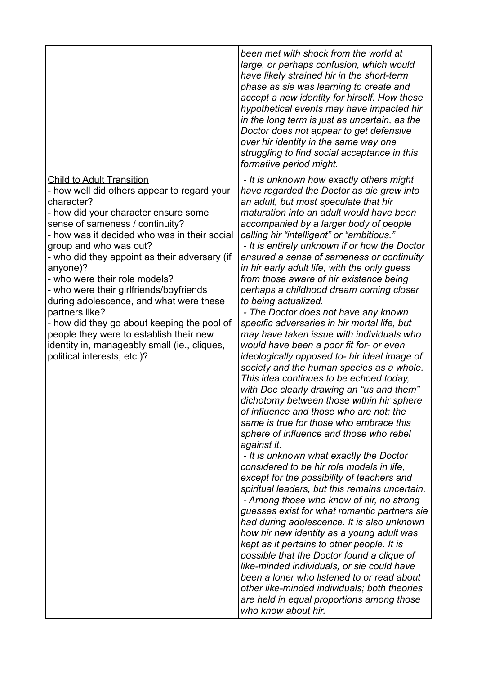|                                                                                                                                                                                                                                                                                                                                                                                                                                                                                                                                                                                                                                   | been met with shock from the world at<br>large, or perhaps confusion, which would<br>have likely strained hir in the short-term<br>phase as sie was learning to create and<br>accept a new identity for hirself. How these<br>hypothetical events may have impacted hir<br>in the long term is just as uncertain, as the<br>Doctor does not appear to get defensive<br>over hir identity in the same way one<br>struggling to find social acceptance in this<br>formative period might.                                                                                                                                                                                                                                                                                                                                                                                                                                                                                                                                                                                                                                                                                                                                                                                                                                                                                                                                                                                                                                                                                                                                                                                                                                                                                                    |
|-----------------------------------------------------------------------------------------------------------------------------------------------------------------------------------------------------------------------------------------------------------------------------------------------------------------------------------------------------------------------------------------------------------------------------------------------------------------------------------------------------------------------------------------------------------------------------------------------------------------------------------|--------------------------------------------------------------------------------------------------------------------------------------------------------------------------------------------------------------------------------------------------------------------------------------------------------------------------------------------------------------------------------------------------------------------------------------------------------------------------------------------------------------------------------------------------------------------------------------------------------------------------------------------------------------------------------------------------------------------------------------------------------------------------------------------------------------------------------------------------------------------------------------------------------------------------------------------------------------------------------------------------------------------------------------------------------------------------------------------------------------------------------------------------------------------------------------------------------------------------------------------------------------------------------------------------------------------------------------------------------------------------------------------------------------------------------------------------------------------------------------------------------------------------------------------------------------------------------------------------------------------------------------------------------------------------------------------------------------------------------------------------------------------------------------------|
| <b>Child to Adult Transition</b><br>- how well did others appear to regard your<br>character?<br>- how did your character ensure some<br>sense of sameness / continuity?<br>- how was it decided who was in their social<br>group and who was out?<br>- who did they appoint as their adversary (if<br>anyone)?<br>- who were their role models?<br>- who were their girlfriends/boyfriends<br>during adolescence, and what were these<br>partners like?<br>- how did they go about keeping the pool of<br>people they were to establish their new<br>identity in, manageably small (ie., cliques,<br>political interests, etc.)? | - It is unknown how exactly others might<br>have regarded the Doctor as die grew into<br>an adult, but most speculate that hir<br>maturation into an adult would have been<br>accompanied by a larger body of people<br>calling hir "intelligent" or "ambitious."<br>- It is entirely unknown if or how the Doctor<br>ensured a sense of sameness or continuity<br>in hir early adult life, with the only guess<br>from those aware of hir existence being<br>perhaps a childhood dream coming closer<br>to being actualized.<br>- The Doctor does not have any known<br>specific adversaries in hir mortal life, but<br>may have taken issue with individuals who<br>would have been a poor fit for- or even<br>ideologically opposed to- hir ideal image of<br>society and the human species as a whole.<br>This idea continues to be echoed today,<br>with Doc clearly drawing an "us and them"<br>dichotomy between those within hir sphere<br>of influence and those who are not; the<br>same is true for those who embrace this<br>sphere of influence and those who rebel<br>against it.<br>- It is unknown what exactly the Doctor<br>considered to be hir role models in life,<br>except for the possibility of teachers and<br>spiritual leaders, but this remains uncertain.<br>- Among those who know of hir, no strong<br>guesses exist for what romantic partners sie<br>had during adolescence. It is also unknown<br>how hir new identity as a young adult was<br>kept as it pertains to other people. It is<br>possible that the Doctor found a clique of<br>like-minded individuals, or sie could have<br>been a loner who listened to or read about<br>other like-minded individuals; both theories<br>are held in equal proportions among those<br>who know about hir. |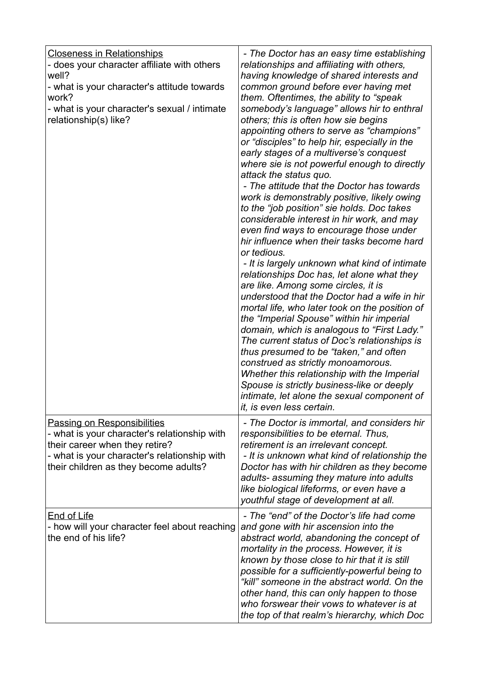| <b>Closeness in Relationships</b><br>- does your character affiliate with others<br>well?<br>- what is your character's attitude towards<br>work?<br>- what is your character's sexual / intimate<br>relationship(s) like? | - The Doctor has an easy time establishing<br>relationships and affiliating with others,<br>having knowledge of shared interests and<br>common ground before ever having met<br>them. Oftentimes, the ability to "speak<br>somebody's language" allows hir to enthral<br>others; this is often how sie begins<br>appointing others to serve as "champions"<br>or "disciples" to help hir, especially in the<br>early stages of a multiverse's conquest<br>where sie is not powerful enough to directly<br>attack the status quo.<br>- The attitude that the Doctor has towards<br>work is demonstrably positive, likely owing<br>to the "job position" sie holds. Doc takes<br>considerable interest in hir work, and may<br>even find ways to encourage those under<br>hir influence when their tasks become hard<br>or tedious.<br>- It is largely unknown what kind of intimate<br>relationships Doc has, let alone what they<br>are like. Among some circles, it is<br>understood that the Doctor had a wife in hir<br>mortal life, who later took on the position of<br>the "Imperial Spouse" within hir imperial<br>domain, which is analogous to "First Lady."<br>The current status of Doc's relationships is<br>thus presumed to be "taken," and often<br>construed as strictly monoamorous.<br>Whether this relationship with the Imperial<br>Spouse is strictly business-like or deeply<br>intimate, let alone the sexual component of<br><i>it, is even less certain.</i> |
|----------------------------------------------------------------------------------------------------------------------------------------------------------------------------------------------------------------------------|---------------------------------------------------------------------------------------------------------------------------------------------------------------------------------------------------------------------------------------------------------------------------------------------------------------------------------------------------------------------------------------------------------------------------------------------------------------------------------------------------------------------------------------------------------------------------------------------------------------------------------------------------------------------------------------------------------------------------------------------------------------------------------------------------------------------------------------------------------------------------------------------------------------------------------------------------------------------------------------------------------------------------------------------------------------------------------------------------------------------------------------------------------------------------------------------------------------------------------------------------------------------------------------------------------------------------------------------------------------------------------------------------------------------------------------------------------------------------------------|
| <b>Passing on Responsibilities</b><br>- what is your character's relationship with<br>their career when they retire?<br>- what is your character's relationship with<br>their children as they become adults?              | - The Doctor is immortal, and considers hir<br>responsibilities to be eternal. Thus,<br>retirement is an irrelevant concept.<br>- It is unknown what kind of relationship the<br>Doctor has with hir children as they become<br>adults- assuming they mature into adults<br>like biological lifeforms, or even have a<br>youthful stage of development at all.                                                                                                                                                                                                                                                                                                                                                                                                                                                                                                                                                                                                                                                                                                                                                                                                                                                                                                                                                                                                                                                                                                                        |
| <b>End of Life</b><br>- how will your character feel about reaching<br>the end of his life?                                                                                                                                | - The "end" of the Doctor's life had come<br>and gone with hir ascension into the<br>abstract world, abandoning the concept of<br>mortality in the process. However, it is<br>known by those close to hir that it is still<br>possible for a sufficiently-powerful being to<br>"kill" someone in the abstract world. On the<br>other hand, this can only happen to those<br>who forswear their vows to whatever is at<br>the top of that realm's hierarchy, which Doc                                                                                                                                                                                                                                                                                                                                                                                                                                                                                                                                                                                                                                                                                                                                                                                                                                                                                                                                                                                                                 |